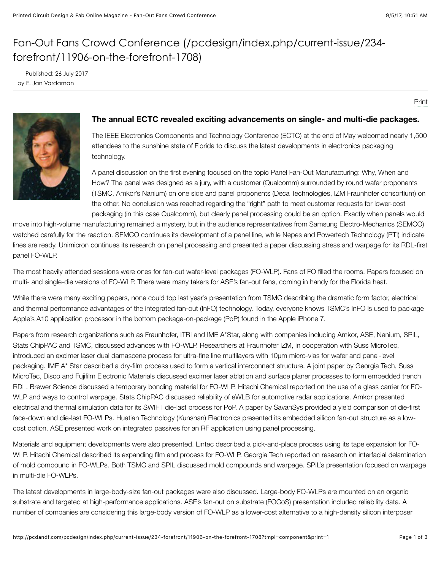## [Fan-Out Fans Crowd Conference \(/pcdesign/index.php/current-issue/234](http://pcdandf.com/pcdesign/index.php/current-issue/234-forefront/11906-on-the-forefront-1708) forefront/11906-on-the-forefront-1708)

 Published: 26 July 2017 by E. Jan Vardaman

[Print](http://pcdandf.com/pcdesign/index.php/current-issue/234-forefront/11906-on-the-forefront-1708#)



## **The annual ECTC revealed exciting advancements on single- and multi-die packages.**

The IEEE Electronics Components and Technology Conference (ECTC) at the end of May welcomed nearly 1,500 attendees to the sunshine state of Florida to discuss the latest developments in electronics packaging technology.

A panel discussion on the first evening focused on the topic Panel Fan-Out Manufacturing: Why, When and How? The panel was designed as a jury, with a customer (Qualcomm) surrounded by round wafer proponents (TSMC, Amkor's Nanium) on one side and panel proponents (Deca Technologies, IZM Fraunhofer consortium) on the other. No conclusion was reached regarding the "right" path to meet customer requests for lower-cost packaging (in this case Qualcomm), but clearly panel processing could be an option. Exactly when panels would

move into high-volume manufacturing remained a mystery, but in the audience representatives from Samsung Electro-Mechanics (SEMCO) watched carefully for the reaction. SEMCO continues its development of a panel line, while Nepes and Powertech Technology (PTI) indicate lines are ready. Unimicron continues its research on panel processing and presented a paper discussing stress and warpage for its RDL-first panel FO-WLP.

The most heavily attended sessions were ones for fan-out wafer-level packages (FO-WLP). Fans of FO filled the rooms. Papers focused on multi- and single-die versions of FO-WLP. There were many takers for ASE's fan-out fans, coming in handy for the Florida heat.

While there were many exciting papers, none could top last year's presentation from TSMC describing the dramatic form factor, electrical and thermal performance advantages of the integrated fan-out (InFO) technology. Today, everyone knows TSMC's InFO is used to package Apple's A10 application processor in the bottom package-on-package (PoP) found in the Apple iPhone 7.

Papers from research organizations such as Fraunhofer, ITRI and IME A\*Star, along with companies including Amkor, ASE, Nanium, SPIL, Stats ChipPAC and TSMC, discussed advances with FO-WLP. Researchers at Fraunhofer IZM, in cooperation with Suss MicroTec, introduced an excimer laser dual damascene process for ultra-fine line multilayers with 10µm micro-vias for wafer and panel-level packaging. IME A\* Star described a dry-film process used to form a vertical interconnect structure. A joint paper by Georgia Tech, Suss MicroTec, Disco and Fujifilm Electronic Materials discussed excimer laser ablation and surface planer processes to form embedded trench RDL. Brewer Science discussed a temporary bonding material for FO-WLP. Hitachi Chemical reported on the use of a glass carrier for FO-WLP and ways to control warpage. Stats ChipPAC discussed reliability of eWLB for automotive radar applications. Amkor presented electrical and thermal simulation data for its SWIFT die-last process for PoP. A paper by SavanSys provided a yield comparison of die-first face-down and die-last FO-WLPs. Huatian Technology (Kunshan) Electronics presented its embedded silicon fan-out structure as a lowcost option. ASE presented work on integrated passives for an RF application using panel processing.

Materials and equipment developments were also presented. Lintec described a pick-and-place process using its tape expansion for FO-WLP. Hitachi Chemical described its expanding film and process for FO-WLP. Georgia Tech reported on research on interfacial delamination of mold compound in FO-WLPs. Both TSMC and SPIL discussed mold compounds and warpage. SPIL's presentation focused on warpage in multi-die FO-WLPs.

The latest developments in large-body-size fan-out packages were also discussed. Large-body FO-WLPs are mounted on an organic substrate and targeted at high-performance applications. ASE's fan-out on substrate (FOCoS) presentation included reliability data. A number of companies are considering this large-body version of FO-WLP as a lower-cost alternative to a high-density silicon interposer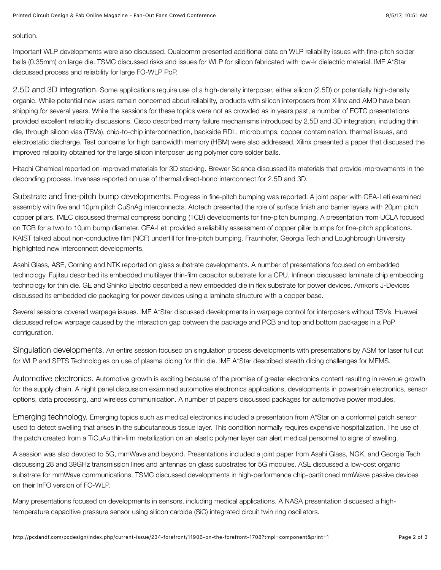solution.

Important WLP developments were also discussed. Qualcomm presented additional data on WLP reliability issues with fine-pitch solder balls (0.35mm) on large die. TSMC discussed risks and issues for WLP for silicon fabricated with low-k dielectric material. IME A\*Star discussed process and reliability for large FO-WLP PoP.

2.5D and 3D integration. Some applications require use of a high-density interposer, either silicon (2.5D) or potentially high-density organic. While potential new users remain concerned about reliability, products with silicon interposers from Xilinx and AMD have been shipping for several years. While the sessions for these topics were not as crowded as in years past, a number of ECTC presentations provided excellent reliability discussions. Cisco described many failure mechanisms introduced by 2.5D and 3D integration, including thin die, through silicon vias (TSVs), chip-to-chip interconnection, backside RDL, microbumps, copper contamination, thermal issues, and electrostatic discharge. Test concerns for high bandwidth memory (HBM) were also addressed. Xilinx presented a paper that discussed the improved reliability obtained for the large silicon interposer using polymer core solder balls.

Hitachi Chemical reported on improved materials for 3D stacking. Brewer Science discussed its materials that provide improvements in the debonding process. Invensas reported on use of thermal direct-bond interconnect for 2.5D and 3D.

Substrate and fine-pitch bump developments. Progress in fine-pitch bumping was reported. A joint paper with CEA-Leti examined assembly with five and 10µm pitch CuSnAg interconnects. Atotech presented the role of surface finish and barrier layers with 20µm pitch copper pillars. IMEC discussed thermal compress bonding (TCB) developments for fine-pitch bumping. A presentation from UCLA focused on TCB for a two to 10µm bump diameter. CEA-Leti provided a reliability assessment of copper pillar bumps for fine-pitch applications. KAIST talked about non-conductive film (NCF) underfill for fine-pitch bumping. Fraunhofer, Georgia Tech and Loughbrough University highlighted new interconnect developments.

Asahi Glass, ASE, Corning and NTK reported on glass substrate developments. A number of presentations focused on embedded technology. Fujitsu described its embedded multilayer thin-film capacitor substrate for a CPU. Infineon discussed laminate chip embedding technology for thin die. GE and Shinko Electric described a new embedded die in flex substrate for power devices. Amkor's J-Devices discussed its embedded die packaging for power devices using a laminate structure with a copper base.

Several sessions covered warpage issues. IME A\*Star discussed developments in warpage control for interposers without TSVs. Huawei discussed reflow warpage caused by the interaction gap between the package and PCB and top and bottom packages in a PoP configuration.

Singulation developments. An entire session focused on singulation process developments with presentations by ASM for laser full cut for WLP and SPTS Technologies on use of plasma dicing for thin die. IME A\*Star described stealth dicing challenges for MEMS.

Automotive electronics. Automotive growth is exciting because of the promise of greater electronics content resulting in revenue growth for the supply chain. A night panel discussion examined automotive electronics applications, developments in powertrain electronics, sensor options, data processing, and wireless communication. A number of papers discussed packages for automotive power modules.

Emerging technology. Emerging topics such as medical electronics included a presentation from A\*Star on a conformal patch sensor used to detect swelling that arises in the subcutaneous tissue layer. This condition normally requires expensive hospitalization. The use of the patch created from a TiCuAu thin-film metallization on an elastic polymer layer can alert medical personnel to signs of swelling.

A session was also devoted to 5G, mmWave and beyond. Presentations included a joint paper from Asahi Glass, NGK, and Georgia Tech discussing 28 and 39GHz transmission lines and antennas on glass substrates for 5G modules. ASE discussed a low-cost organic substrate for mmWave communications. TSMC discussed developments in high-performance chip-partitioned mmWave passive devices on their InFO version of FO-WLP.

Many presentations focused on developments in sensors, including medical applications. A NASA presentation discussed a hightemperature capacitive pressure sensor using silicon carbide (SiC) integrated circuit twin ring oscillators.